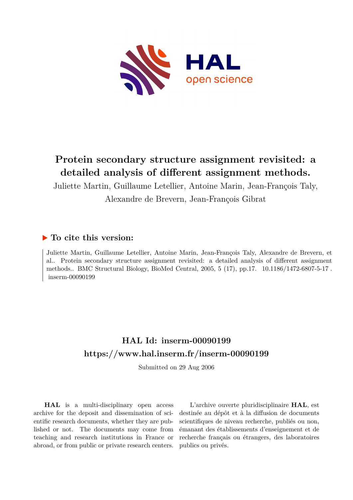

# **Protein secondary structure assignment revisited: a detailed analysis of different assignment methods.**

Juliette Martin, Guillaume Letellier, Antoine Marin, Jean-François Taly, Alexandre de Brevern, Jean-François Gibrat

# **To cite this version:**

Juliette Martin, Guillaume Letellier, Antoine Marin, Jean-François Taly, Alexandre de Brevern, et al.. Protein secondary structure assignment revisited: a detailed analysis of different assignment methods.. BMC Structural Biology, BioMed Central, 2005, 5 (17), pp.17. 10.1186/1472-6807-5-17.  $inserm-00090199$ 

# **HAL Id: inserm-00090199 <https://www.hal.inserm.fr/inserm-00090199>**

Submitted on 29 Aug 2006

**HAL** is a multi-disciplinary open access archive for the deposit and dissemination of scientific research documents, whether they are published or not. The documents may come from teaching and research institutions in France or abroad, or from public or private research centers.

L'archive ouverte pluridisciplinaire **HAL**, est destinée au dépôt et à la diffusion de documents scientifiques de niveau recherche, publiés ou non, émanant des établissements d'enseignement et de recherche français ou étrangers, des laboratoires publics ou privés.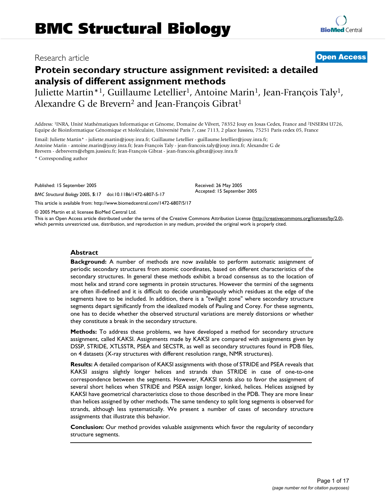## Research article **Contract Contract Contract Contract Contract Contract Contract Contract Contract Contract Contract Contract Contract Contract Contract Contract Contract Contract Contract Contract Contract Contract Contra**

# **Protein secondary structure assignment revisited: a detailed analysis of different assignment methods**

Juliette Martin<sup>\*1</sup>, Guillaume Letellier<sup>1</sup>, Antoine Marin<sup>1</sup>, Jean-François Taly<sup>1</sup>, Alexandre G de Brevern<sup>2</sup> and Jean-François Gibrat<sup>1</sup>

Address: <sup>1</sup>INRA, Unité Mathématiques Informatique et Génome, Domaine de Vilvert, 78352 Jouy en Josas Cedex, France and <sup>2</sup>INSERM U726, Equipe de Bioinformatique Génomique et Moléculaire, Université Paris 7, case 7113, 2 place Jussieu, 75251 Paris cedex 05, France

Email: Juliette Martin\* - juliette.martin@jouy.inra.fr; Guillaume Letellier - guillaume.letellier@jouy.inra.fr; Antoine Marin - antoine.marin@jouy.inra.fr; Jean-François Taly - jean-francois.taly@jouy.inra.fr; Alexandre G de Brevern - debrevern@ebgm.jussieu.fr; Jean-François Gibrat - jean-francois.gibrat@jouy.inra.fr

\* Corresponding author

Published: 15 September 2005

*BMC Structural Biology* 2005, **5**:17 doi:10.1186/1472-6807-5-17

[This article is available from: http://www.biomedcentral.com/1472-6807/5/17](http://www.biomedcentral.com/1472-6807/5/17)

© 2005 Martin et al; licensee BioMed Central Ltd.

This is an Open Access article distributed under the terms of the Creative Commons Attribution License [\(http://creativecommons.org/licenses/by/2.0\)](http://creativecommons.org/licenses/by/2.0), which permits unrestricted use, distribution, and reproduction in any medium, provided the original work is properly cited.

Received: 26 May 2005 Accepted: 15 September 2005

#### **Abstract**

**Background:** A number of methods are now available to perform automatic assignment of periodic secondary structures from atomic coordinates, based on different characteristics of the secondary structures. In general these methods exhibit a broad consensus as to the location of most helix and strand core segments in protein structures. However the termini of the segments are often ill-defined and it is difficult to decide unambiguously which residues at the edge of the segments have to be included. In addition, there is a "twilight zone" where secondary structure segments depart significantly from the idealized models of Pauling and Corey. For these segments, one has to decide whether the observed structural variations are merely distorsions or whether they constitute a break in the secondary structure.

**Methods:** To address these problems, we have developed a method for secondary structure assignment, called KAKSI. Assignments made by KAKSI are compared with assignments given by DSSP, STRIDE, XTLSSTR, PSEA and SECSTR, as well as secondary structures found in PDB files, on 4 datasets (X-ray structures with different resolution range, NMR structures).

**Results:** A detailed comparison of KAKSI assignments with those of STRIDE and PSEA reveals that KAKSI assigns slightly longer helices and strands than STRIDE in case of one-to-one correspondence between the segments. However, KAKSI tends also to favor the assignment of several short helices when STRIDE and PSEA assign longer, kinked, helices. Helices assigned by KAKSI have geometrical characteristics close to those described in the PDB. They are more linear than helices assigned by other methods. The same tendency to split long segments is observed for strands, although less systematically. We present a number of cases of secondary structure assignments that illustrate this behavior.

**Conclusion:** Our method provides valuable assignments which favor the regularity of secondary structure segments.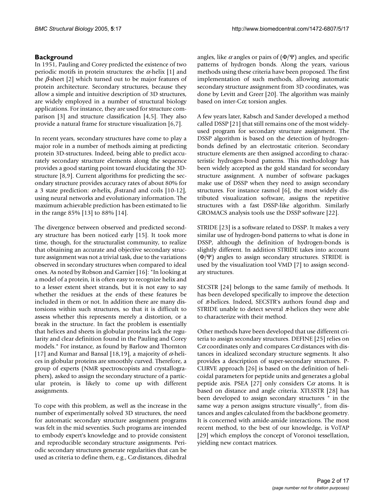#### **Background**

In 1951, Pauling and Corey predicted the existence of two periodic motifs in protein structures: the  $\alpha$ -helix [1] and the  $\beta$ -sheet [2] which turned out to be major features of protein architecture. Secondary structures, because they allow a simple and intuitive description of 3D structures, are widely employed in a number of structural biology applications. For instance, they are used for structure comparison [3] and structure classification [4,5]. They also provide a natural frame for structure visualization [6,7].

In recent years, secondary structures have come to play a major role in a number of methods aiming at predicting protein 3D-structures. Indeed, being able to predict accurately secondary structure elements along the sequence provides a good starting point toward elucidating the 3Dstructure [8,9]. Current algorithms for predicting the secondary structure provides accuracy rates of about 80% for a 3 state prediction:  $\alpha$ -helix,  $\beta$ -strand and coils [10-12], using neural networks and evolutionary information. The maximum achievable prediction has been estimated to lie in the range 85% [13] to 88% [14].

The divergence between observed and predicted secondary structure has been noticed early [15]. It took more time, though, for the structuralist community, to realize that obtaining an accurate and objective secondary structure assignment was not a trivial task, due to the variations observed in secondary structures when compared to ideal ones. As noted by Robson and Garnier [16]: "In looking at a model of a protein, it is often easy to recognize helix and to a lesser extent sheet strands, but it is not easy to say whether the residues at the ends of these features be included in them or not. In addition there are many distorsions within such structures, so that it is difficult to assess whether this represents merely a distortion, or a break in the structure. In fact the problem is essentially that helices and sheets in globular proteins lack the regularity and clear definition found in the Pauling and Corey models." For instance, as found by Barlow and Thornton [17] and Kumar and Bansal [18,19], a majority of  $\alpha$ -helices in globular proteins are smoothly curved. Therefore, a group of experts (NMR spectroscopists and crystallographers), asked to assign the secondary structure of a particular protein, is likely to come up with different assignments.

To cope with this problem, as well as the increase in the number of experimentally solved 3D structures, the need for automatic secondary structure assignment programs was felt in the mid seventies. Such programs are intended to embody expert's knowledge and to provide consistent and reproducible secondary structure assignments. Periodic secondary structures generate regularities that can be used as criteria to define them, e.g.,  $C\alpha$  distances, dihedral

angles, like  $\alpha$  angles or pairs of  $(\Phi/\Psi)$  angles, and specific patterns of hydrogen bonds. Along the years, various methods using these criteria have been proposed. The first implementation of such methods, allowing automatic secondary structure assignment from 3D coordinates, was done by Levitt and Greer [20]. The algorithm was mainly based on inter- $C\alpha$ ; torsion angles.

A few years later, Kabsch and Sander developed a method called DSSP [21] that still remains one of the most widelyused program for secondary structure assignment. The DSSP algorithm is based on the detection of hydrogenbonds defined by an electrostatic criterion. Secondary structure elements are then assigned according to characteristic hydrogen-bond patterns. This methodology has been widely accepted as the gold standard for secondary structure assignment. A number of software packages make use of DSSP when they need to assign secondary structures. For instance rasmol [6], the most widely distributed visualization software, assigns the repetitive structures with a fast DSSP-like algorithm. Similarly GROMACS analysis tools use the DSSP software [22].

STRIDE [23] is a software related to DSSP. It makes a very similar use of hydrogen-bond patterns to what is done in DSSP, although the definition of hydrogen-bonds is slightly different. In addition STRIDE takes into account (Φ/Ψ) angles to assign secondary structures. STRIDE is used by the visualization tool VMD [7] to assign secondary structures.

SECSTR [24] belongs to the same family of methods. It has been developed specifically to improve the detection of  $\pi$ -helices. Indeed, SECSTR's authors found dssp and STRIDE unable to detect several  $\pi$ -helices they were able to characterize with their method.

Other methods have been developed that use different criteria to assign secondary structures. DEFINE [25] relies on C $\alpha$  coordinates only and compares C $\alpha$  distances with distances in idealized secondary structure segments. It also provides a description of super-secondary structures. P-CURVE approach [26] is based on the definition of helicoidal parameters for peptide units and generates a global peptide axis. PSEA [27] only considers  $C\alpha$  atoms. It is based on distance and angle criteria. XTLSSTR [28] has been developed to assign secondary structures " in the same way a person assigns structure visually", from distances and angles calculated from the backbone geometry. It is concerned with amide-amide interactions. The most recent method, to the best of our knowledge, is VoTAP [29] which employs the concept of Voronoi tessellation, yielding new contact matrices.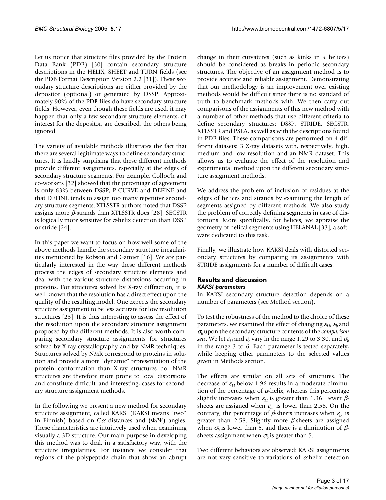Let us notice that structure files provided by the Protein Data Bank (PDB) [30] contain secondary structure descriptions in the HELIX, SHEET and TURN fields (see the PDB Format Description Version 2.2 [31]). These secondary structure descriptions are either provided by the depositor (optional) or generated by DSSP. Approximately 90% of the PDB files do have secondary structure fields. However, even though these fields are used, it may happen that only a few secondary structure elements, of interest for the depositor, are described, the others being ignored.

The variety of available methods illustrates the fact that there are several legitimate ways to define secondary structures. It is hardly surprising that these different methods provide different assignments, especially at the edges of secondary structure segments. For example, Colloc'h and co-workers [32] showed that the percentage of agreement is only 63% between DSSP, P-CURVE and DEFINE and that DEFINE tends to assign too many repetitive secondary structure segments. XTLSSTR authors noted that DSSP assigns more  $\beta$ -strands than XTLSSTR does [28]. SECSTR is logically more sensitive for  $\pi$ -helix detection than DSSP or stride [24].

In this paper we want to focus on how well some of the above methods handle the secondary structure irregularities mentioned by Robson and Gamier [16]. We are particularly interested in the way these different methods process the edges of secondary structure elements and deal with the various structure distorsions occurring in proteins. For structures solved by X-ray diffraction, it is well known that the resolution has a direct effect upon the quality of the resulting model. One expects the secondary structure assignment to be less accurate for low resolution structures [23]. It is thus interesting to assess the effect of the resolution upon the secondary structure assignment proposed by the different methods. It is also worth comparing secondary structure assignments for structures solved by X-ray crystallography and by NMR techniques. Structures solved by NMR correspond to proteins in solution and provide a more "dynamic" representation of the protein conformation than X-ray structures do. NMR structures are therefore more prone to local distorsions and constitute difficult, and interesting, cases for secondary structure assignment methods.

In the following we present a new method for secondary structure assignment, called KAKSI (KAKSI means "two" in Finnish) based on C $\alpha$  distances and (Φ/Ψ) angles. These characteristics are intuitively used when examining visually a 3D structure. Our main purpose in developing this method was to deal, in a satisfactory way, with the structure irregularities. For instance we consider that regions of the polypeptide chain that show an abrupt change in their curvatures (such as kinks in *a* helices) should be considered as breaks in periodic secondary structures. The objective of an assignment method is to provide accurate and reliable assignment. Demonstrating that our methodology is an improvement over existing methods would be difficult since there is no standard of truth to benchmark methods with. We then carry out comparisons of the assignments of this new method with a number of other methods that use different criteria to define secondary structures: DSSP, STRIDE, SECSTR, XTLSSTR and PSEA, as well as with the descriptions found in PDB files. These comparisons are performed on 4 different datasets: 3 X-ray datasets with, respectively, high, medium and low resolution and an NMR dataset. This allows us to evaluate the effect of the resolution and experimental method upon the different secondary structure assignment methods.

We address the problem of inclusion of residues at the edges of helices and strands by examining the length of segments assigned by different methods. We also study the problem of correctly defining segments in case of distortions. More specifically, for helices, we appraise the geometry of helical segments using HELANAL [33], a software dedicated to this task.

Finally, we illustrate how KAKSI deals with distorted secondary structures by comparing its assignments with STRIDE assignments for a number of difficult cases.

#### **Results and discussion** *KAKSI parameters*

In KAKSI secondary structure detection depends on a number of parameters (see Method section).

To test the robustness of the method to the choice of these parameters, we examined the effect of changing  $\varepsilon_{H}$ ,  $\varepsilon_{h}$  and <sup>σ</sup>*b* upon the secondary structure contents of the *comparison sets*. We let  $\varepsilon_H$  and  $\varepsilon_b$  vary in the range 1.29 to 3.30, and  $\sigma_b$ in the range 3 to 6. Each parameter is tested separately, while keeping other parameters to the selected values given in Methods section.

The effects are similar on all sets of structures. The decrease of  $\varepsilon_H$  below 1.96 results in a moderate diminution of the percentage of  $\alpha$ -helix, whereas this percentage slightly increases when  $\varepsilon_H$  is greater than 1.96. Fewer  $\beta$ sheets are assigned when  $\varepsilon_{b'}$  is lower than 2.58. On the contrary, the percentage of  $\beta$ -sheets increases when  $\varepsilon_{b'}$  is greater than 2.58. Slightly more  $\beta$ -sheets are assigned when  $\sigma_h$  is lower than 5, and there is a diminution of  $\beta$ sheets assignment when  $\sigma_h$  is greater than 5.

Two different behaviors are observed: KAKSI assignments are not very sensitive to variations of  $\alpha$ -helix detection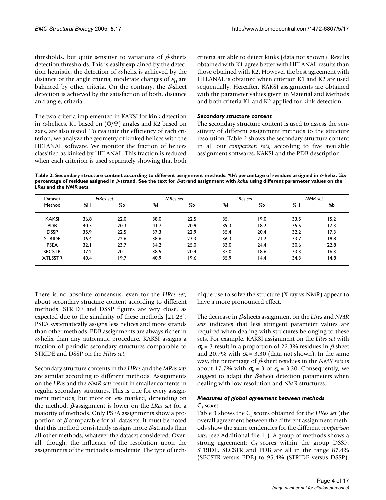thresholds, but quite sensitive to variations of  $\beta$ -sheets detection thresholds. This is easily explained by the detection heuristic: the detection of  $\alpha$ -helix is achieved by the distance or the angle criteria, moderate changes of  $\varepsilon_H$  are balanced by other criteria. On the contrary, the  $\beta$ -sheet detection is achieved by the satisfaction of both, distance and angle, criteria.

The two criteria implemented in KAKSI for kink detection in  $\alpha$ -helices, K1 based on (Φ/Ψ) angles and K2 based on axes, are also tested. To evaluate the efficiency of each criterion, we analyze the geometry of kinked helices with the HELANAL software. We monitor the fraction of helices classified as kinked by HELANAL. This fraction is reduced when each criterion is used separately showing that both

criteria are able to detect kinks (data not shown). Results obtained with K1 agree better with HELANAL results than those obtained with K2. However the best agreement with HELANAL is obtained when criterion K1 and K2 are used sequentially. Hereafter, KAKSI assignments are obtained with the parameter values given in Material and Methods and both criteria K1 and K2 applied for kink detection.

#### *Secondary structure content*

The secondary structure content is used to assess the sensitivity of different assignment methods to the structure resolution. Table 2 shows the secondary structure content in all our *comparison sets*, according to five available assignment softwares, KAKSI and the PDB description.

**Table 2: Secondary structure content according to different assignment methods. %***H***: percentage of residues assigned in** α**-helix. %***b***: percentage of residues assigned in** β**-strand. See the text for** β**-strand assignment with** *kaksi* **using different parameter values on the**  *LRes* **and the** *NMR* **sets.**

| Dataset        | <b>HRes</b> set |      | MRes set |      | LRes set |      | NMR set |      |
|----------------|-----------------|------|----------|------|----------|------|---------|------|
| Method         | %H              | %b   | %H       | %b   | %H       | %b   | %H      | %b   |
| <b>KAKSI</b>   | 36.8            | 22.0 | 38.0     | 22.5 | 35.1     | 19.0 | 33.5    | 15.2 |
| <b>PDB</b>     | 40.5            | 20.3 | 41.7     | 20.9 | 39.3     | 18.2 | 35.5    | 17.3 |
| <b>DSSP</b>    | 35.9            | 22.5 | 37.3     | 22.9 | 35.4     | 20.4 | 32.2    | 17.3 |
| <b>STRIDE</b>  | 36.4            | 22.6 | 38.6     | 23.3 | 36.3     | 21.2 | 33.7    | 18.8 |
| <b>PSEA</b>    | 32.1            | 23.7 | 34.2     | 25.0 | 33.0     | 24.4 | 30.6    | 22.8 |
| <b>SECSTR</b>  | 37.2            | 20.1 | 38.5     | 20.4 | 37.0     | 18.6 | 33.3    | 16.3 |
| <b>XTLSSTR</b> | 40.4            | 19.7 | 40.9     | 19.6 | 35.9     | 14.4 | 34.3    | 14.8 |

There is no absolute consensus, even for the *HRes set*, about secondary structure content according to different methods. STRIDE and DSSP figures are very close, as expected due to the similarity of these methods [21,23]. PSEA systematically assigns less helices and more strands than other methods. PDB assignments are always richer in  $\alpha$ -helix than any automatic procedure. KAKSI assigns a fraction of periodic secondary structures comparable to STRIDE and DSSP on the *HRes set*.

Secondary structure contents in the *HRes* and the *MRes sets* are similar according to different methods. Assignments on the *LRes* and the *NMR sets* result in smaller contents in regular secondary structures. This is true for every assignment methods, but more or less marked, depending on the method. β-assignment is lower on the *LRes set* for a majority of methods. Only PSEA assignments show a proportion of  $\beta$  comparable for all datasets. It must be noted that this method consistently assigns more  $\beta$ -strands than all other methods, whatever the dataset considered. Overall, though, the influence of the resolution upon the assignments of the methods is moderate. The type of technique use to solve the structure (X-ray vs NMR) appear to have a more pronounced effect.

The decrease in β-sheets assignment on the *LRes* and *NMR sets* indicates that less stringent parameter values are required when dealing with structures belonging to these sets. For example, KAKSI assignment on the *LRes set* with  $\sigma_b$  = 3 result in a proportion of 22.3% residues in  $\beta$ -sheet and 20.7% with  $\sigma_b$  = 3.30 (data not shown). In the same way, the percentage of β-sheet residues in the *NMR sets* is about 17.7% with  $\sigma_b = 3$  or  $\varepsilon_b = 3.30$ . Consequently, we suggest to adapt the  $\beta$ -sheet detection parameters when dealing with low resolution and NMR structures.

## *Measures of global agreement between methods*

#### C*3 scores*

Table [3](#page-5-0) shows the *C*<sub>3</sub> scores obtained for the *HRes set* (the overall agreement between the different assignment methods show the same tendencies for the different *comparison sets*, [see Additional file 1]). A group of methods shows a strong agreement:  $C_3$  scores within the group DSSP, STRIDE, SECSTR and PDB are all in the range 87.4% (SECSTR versus PDB) to 95.4% (STRIDE versus DSSP).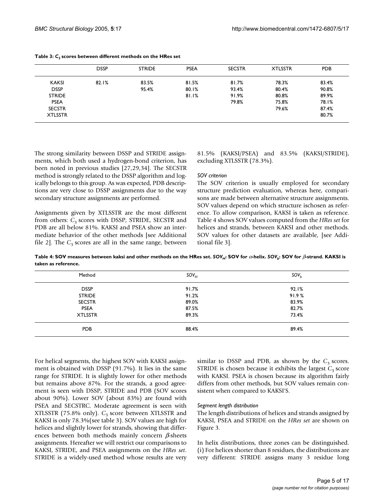|                | <b>DSSP</b> | <b>STRIDE</b> | <b>PSEA</b> | <b>SECSTR</b> | <b>XTLSSTR</b> | <b>PDB</b> |
|----------------|-------------|---------------|-------------|---------------|----------------|------------|
| <b>KAKSI</b>   | 82.1%       | 83.5%         | 81.5%       | 81.7%         | 78.3%          | 83.4%      |
| <b>DSSP</b>    |             | 95.4%         | 80.1%       | 93.4%         | 80.4%          | 90.8%      |
| <b>STRIDE</b>  |             |               | 81.1%       | 91.9%         | 80.8%          | 89.9%      |
| <b>PSEA</b>    |             |               |             | 79.8%         | 75.8%          | 78.1%      |
| <b>SECSTR</b>  |             |               |             |               | 79.6%          | 87.4%      |
| <b>XTLSSTR</b> |             |               |             |               |                | 80.7%      |

<span id="page-5-0"></span>**Table 3:** *C***3 scores between different methods on the HRes set**

The strong similarity between DSSP and STRIDE assignments, which both used a hydrogen-bond criterion, has been noted in previous studies [27,29,34]. The SECSTR method is strongly related to the DSSP algorithm and logically belongs to this group. As was expected, PDB descriptions are very close to DSSP assignments due to the way secondary structure assignments are performed.

Assignments given by XTLSSTR are the most different from others:  $C_3$  scores with DSSP, STRIDE, SECSTR and PDB are all below 81%. KAKSI and PSEA show an intermediate behavior of the other methods [see Additional file 2]. The  $C_3$  scores are all in the same range, between 81.5% (KAKSI/PSEA) and 83.5% (KAKSI/STRIDE), excluding XTLSSTR (78.3%).

#### *SOV criterion*

The SOV criterion is usually employed for secondary structure prediction evaluation, whereas here, comparisons are made between alternative structure assignments. SOV values depend on which structure ischosen as reference. To allow comparison, KAKSI is taken as reference. Table 4 shows SOV values computed from the *HRes set* for helices and strands, between KAKSI and other methods. SOV values for other datasets are available, [see Additional file 3].

**Table 4: SOV measures between kaksi and other methods on the HRes set.** *SOVH***: SOV for** α**-helix.** *SOV<sup>b</sup>* **: SOV for** β**-strand. KAKSI is taken as reference.**

| Method         | $\mathsf{SOV}_H$ | $SOV_b$ |
|----------------|------------------|---------|
| <b>DSSP</b>    | 91.7%            | 92.1%   |
| <b>STRIDE</b>  | 91.2%            | 91.9%   |
| <b>SECSTR</b>  | 89.0%            | 83.9%   |
| <b>PSEA</b>    | 87.5%            | 82.7%   |
| <b>XTLSSTR</b> | 89.3%            | 73.4%   |
| <b>PDB</b>     | 88.4%            | 89.4%   |

For helical segments, the highest SOV with KAKSI assignment is obtained with DSSP (91.7%). It lies in the same range for STRIDE. It is slightly lower for other methods but remains above 87%. For the strands, a good agreement is seen with DSSP, STRIDE and PDB (SOV scores about 90%). Lower SOV (about 83%) are found with PSEA and SECSTRC. Moderate agreement is seen with XTLSSTR (75.8% only).  $C_3$  score between XTLSSTR and KAKSI is only 78.3%(see table [3](#page-5-0)). SOV values are high for helices and slightly lower for strands, showing that differences between both methods mainly concern  $\beta$ -sheets assignments. Hereafter we will restrict our comparisons to KAKSI, STRIDE, and PSEA assignments on the *HRes set*. STRIDE is a widely-used method whose results are very similar to DSSP and PDB, as shown by the  $C_3$  scores. STRIDE is chosen because it exhibits the largest  $C_3$  score with KAKSI. PSEA is chosen because its algorithm fairly differs from other methods, but SOV values remain consistent when compared to KAKSI'S.

#### *Segment length distribution*

The length distributions of helices and strands assigned by KAKSI, PSEA and STRIDE on the *HRes set* are shown on Figure [3.](#page-6-0)

In helix distributions, three zones can be distinguished. (i) For helices shorter than 8 residues, the distributions are very different: STRIDE assigns many 3 residue long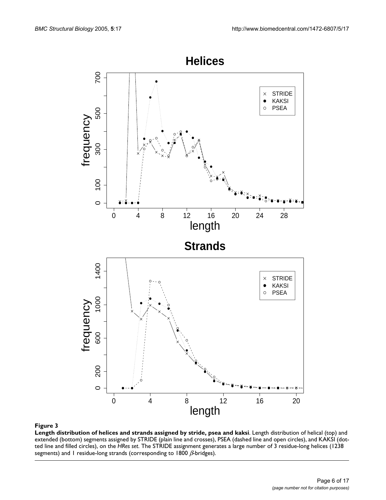<span id="page-6-0"></span>

**Length distribution of helices and strands assigned by stride, psea and kaksi**. Length distribution of helical (top) and extended (bottom) segments assigned by STRIDE (plain line and crosses), PSEA (dashed line and open circles), and KAKSI (dotted line and filled circles), on the *HRes set*. The STRIDE assignment generates a large number of 3 residue-long helices (1238 segments) and 1 residue-long strands (corresponding to 1800  $\beta$ -bridges).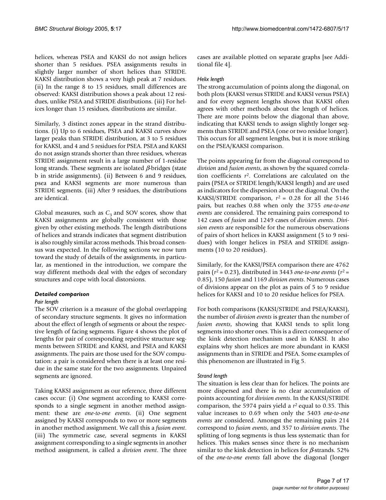helices, whereas PSEA and KAKSI do not assign helices shorter than 5 residues. PSEA assignments results in slightly larger number of short helices than STRIDE. KAKSI distribution shows a very high peak at 7 residues. (ii) In the range 8 to 15 residues, small differences are observed: KAKSI distribution shows a peak about 12 residues, unlike PSEA and STRIDE distributions. (iii) For helices longer than 15 residues, distributions are similar.

Similarly, 3 distinct zones appear in the strand distributions. (i) Up to 6 residues, PSEA and KAKSI curves show larger peaks than STRIDE distribution, at 3 to 5 residues for KAKSI, and 4 and 5 residues for PSEA. PSEA and KAKSI do not assign strands shorter than three residues, whereas STRIDE assignment result in a large number of 1-residue long strands. These segments are isolated  $\beta$ -bridges (state b in stride assignments). (ii) Between 6 and 9 residues, psea and KAKSI segments are more numerous than STRIDE segments. (iii) After 9 residues, the distributions are identical.

Global measures, such as  $C_3$  and SOV scores, show that KAKSI assignments are globally consistent with those given by other existing methods. The length distributions of helices and strands indicates that segment distribution is also roughly similar across methods. This broad consensus was expected. In the following sections we now turn toward the study of details of the assignments, in particular, as mentioned in the introduction, we compare the way different methods deal with the edges of secondary structures and cope with local distorsions.

#### *Detailed comparison*

#### *Pair length*

The SOV criterion is a measure of the global overlapping of secondary structure segments. It gives no information about the effect of length of segments or about the respective length of facing segments. Figure [4](#page-8-0) shows the plot of lengths for pair of corresponding repetitive structure segments between STRIDE and KAKSI, and PSEA and KAKSI assignments. The pairs are those used for the SOV computation: a pair is considered when there is at least one residue in the same state for the two assignments. Unpaired segments are ignored.

Taking KAKSI assignment as our reference, three different cases occur: (i) One segment according to KAKSI corresponds to a single segment in another method assignment: these are *one-to-one events*. (ii) One segment assigned by KAKSI corresponds to two or more segments in another method assignment. We call this a *fusion event*. (iii) The symmetric case, several segments in KAKSI assignment corresponding to a single segments in another method assignment, is called a *division event*. The three cases are available plotted on separate graphs [see Additional file 4].

#### *Helix length*

The strong accumulation of points along the diagonal, on both plots (KAKSI versus STRIDE and KAKSI versus PSEA) and for every segment lengths shows that KAKSI often agrees with other methods about the length of helices. There are more points below the diagonal than above, indicating that KAKSI tends to assign slightly longer segments than STRIDE and PSEA (one or two residue longer). This occurs for all segment lengths, but it is more striking on the PSEA/KAKSI comparison.

The points appearing far from the diagonal correspond to *division* and *fusion events*, as shown by the squared correlation coefficients *r* <sup>2</sup>. Correlations are calculated on the pairs (PSEA or STRIDE length/KAKSI length) and are used as indicators for the dispersion about the diagonal. On the KAKSI/STRIDE comparison,  $r^2 = 0.28$  for all the 5146 pairs, but reaches 0.88 when only the 3755 *one-to-one events* are considered. The remaining pairs correspond to 142 cases of *fusion* and 1249 cases of *division events. Division events* are responsible for the numerous observations of pairs of short helices in KAKSI assignment (5 to 9 residues) with longer helices in PSEA and STRIDE assignments (10 to 20 residues).

Similarly, for the KAKSI/PSEA comparison there are 4762 pairs (*r* <sup>2</sup>= 0.23), distributed in 3443 *one-to-one events* (*r* <sup>2</sup>= 0.85), 150 *fusion* and 1169 *division events*. Numerous cases of divisions appear on the plot as pairs of 5 to 9 residue helices for KAKSI and 10 to 20 residue helices for PSEA.

For both comparisons (KAKSI/STRIDE and PSEA/KAKSI), the number of *division events* is greater than the number of *fusion events*, showing that KAKSI tends to split long segments into shorter ones. This is a direct consequence of the kink detection mechanism used in KAKSI. It also explains why short helices are more abundant in KAKSI assignments than in STRIDE and PSEA. Some examples of this phenomenon are illustrated in Fig [5.](#page-9-0)

#### *Strand length*

The situation is less clear than for helices. The points are more dispersed and there is no clear accumulation of points accounting for *division events*. In the KAKSI/STRIDE comparison, the 5974 pairs yield a *r* <sup>2</sup>equal to 0.35. This value increases to 0.69 when only the 5403 *one-to-one events* are considered. Amongst the remaining pairs 214 correspond to *fusion events*, and 357 to *division events*. The splitting of long segments is thus less systematic than for helices. This makes senses since there is no mechanism similar to the kink detection in helices for  $\beta$ -strands. 52% of the *one-to-one events* fall above the diagonal (longer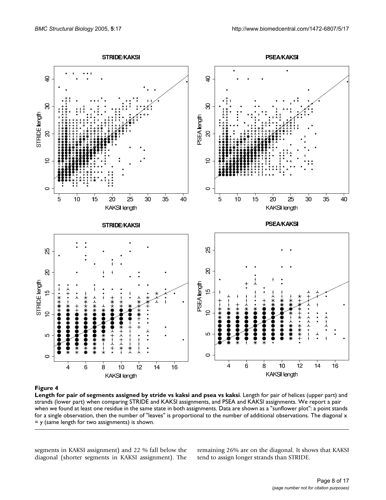<span id="page-8-0"></span>

**Length for pair of segments assigned by stride vs kaksi and psea vs kaksi**. Length for pair of helices (upper part) and strands (lower part) when comparing STRIDE and KAKSI assignments, and PSEA and KAKSI assignments. We report a pair when we found at least one residue in the same state in both assignments. Data are shown as a "sunflower plot": a point stands for a single observation, then the number of "leaves" is proportional to the number of additional observations. The diagonal x  $=$  y (same length for two assignments) is shown.

segments in KAKSI assignment) and 22 % fall below the diagonal (shorter segments in KAKSI assignment). The

remaining 26% are on the diagonal. It shows that KAKSI tend to assign longer strands than STRIDE.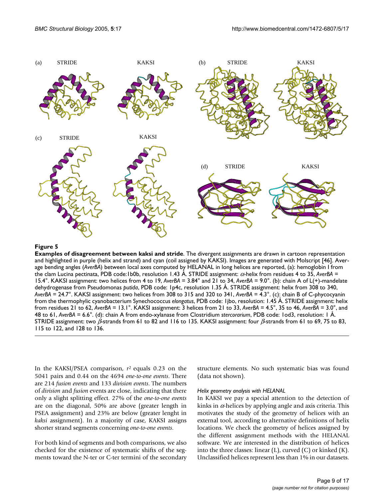<span id="page-9-0"></span>

**Examples of disagreement between kaksi and stride**. The divergent assignments are drawn in cartoon representation and highlighted in purple (helix and strand) and cyan (coil assigned by KAKSI). Images are generated with Molscript [46]. Average bending angles (*AverBA*) between local axes computed by HELANAL in long helices are reported, (a): hemoglobin I from the clam Lucina pectinata, PDB code:1b0b, resolution 1.43 Å. STRIDE assignment: α-helix from residues 4 to 35, *AverBA* = 15.4°. KAKSI assignment: two helices from 4 to 19, *AverBA* = 3.84° and 21 to 34, *AverBA* = 9.0°. (b): chain A of L(+)-mandelate dehydrogenase from Pseudomonas *putida*, PDB code: 1p4c, resolution 1.35 Å. STRIDE assignment: helix from 308 to 340, *AverBA* = 24.7°. KAKSI assignment: two helices from 308 to 315 and 320 to 341, *AverBA* = 4.3°. (c): chain B of C-phycocyanin from the thermophylic cyanobacterium Synechococcus *elongatus*, PDB code: 1jbo, resolution: 1.45 Å. STRIDE assignment: helix from residues 21 to 62, *AverBA* = 13.1°. KAKSI assignment: 3 helices from 21 to 33, *AverBA* = 4.5°, 35 to 46, *AverBA* = 3.0°, and 48 to 61, *AverBA* = 6.6°. (d): chain A from endo-xylanase from Clostridium *stercorarium*, PDB code: 1od3, resolution: 1 Å. STRIDE assignment: two β-strands from 61 to 82 and 116 to 135. KAKSI assignment: four β-strands from 61 to 69, 75 to 83, 115 to 122, and 128 to 136.

In the KAKSI/PSEA comparison, *r* <sup>2</sup>equals 0.23 on the 5041 pairs and 0.44 on the 4694 *one-to-one events*. There are 214 *fusion events* and 133 *division events*. The numbers of *division* and *fusion* events are close, indicating that there only a slight splitting effect. 27% of the *one-to-one events* are on the diagonal, 50% are above (greater length in PSEA assignment) and 23% are below (greater lenght in *kaksi* assignment). In a majority of case, KAKSI assigns shorter strand segments concerning *one-to-one events*.

For both kind of segments and both comparisons, we also checked for the existence of systematic shifts of the segments toward the N-ter or C-ter termini of the secondary structure elements. No such systematic bias was found (data not shown).

#### *Helix geometry analysis with HELANAL*

In KAKSI we pay a special attention to the detection of kinks in  $\alpha$ -helices by applying angle and axis criteria. This motivates the study of the geometry of helices with an external tool, according to alternative definitions of helix locations. We check the geometry of helices assigned by the different assignment methods with the HELANAL software. We are interested in the distribution of helices into the three classes: linear (L), curved (C) or kinked (K). Unclassified helices represent less than 1% in our datasets.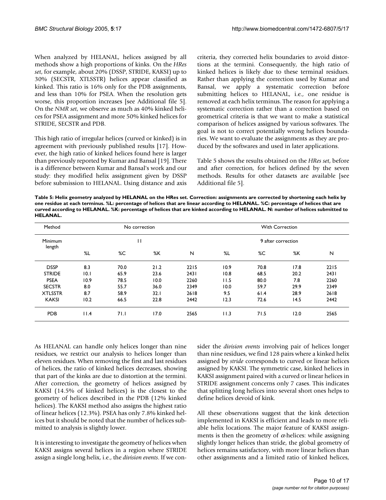When analyzed by HELANAL, helices assigned by all methods show a high proportions of kinks. On the *HRes set*, for example, about 20% (DSSP, STRIDE, KAKSI) up to 30% (SECSTR, XTLSSTR) helices appear classified as kinked. This ratio is 16% only for the PDB assignments, and less than 10% for PSEA. When the resolution gets worse, this proportion increases [see Additional file 5]. On the *NMR set*, we observe as much as 40% kinked helices for PSEA assignment and more 50% kinked helices for STRIDE, SECSTR and PDB.

This high ratio of irregular helices (curved or kinked) is in agreement with previously published results [17]. However, the high ratio of kinked helices found here is larger than previously reported by Kumar and Bansal [19]. There is a difference between Kumar and Bansal's work and our study: they modified helix assignment given by DSSP before submission to HELANAL. Using distance and axis criteria, they corrected helix boundaries to avoid distortions at the termini. Consequently, the high ratio of kinked helices is likely due to these terminal residues. Rather than applying the correction used by Kumar and Bansal, we apply a systematic correction before submitting helices to HELANAL, i.e., one residue is removed at each helix terminus. The reason for applying a systematic correction rather than a correction based on geometrical criteria is that we want to make a statistical comparison of helices assigned by various softwares. The goal is not to correct potentially wrong helices boundaries. We want to evaluate the assignments as they are produced by the softwares and used in later applications.

Table [5](#page-10-0) shows the results obtained on the *HRes set*, before and after correction, for helices defined by the seven methods. Results for other datasets are available [see Additional file 5].

<span id="page-10-0"></span>**Table 5: Helix geometry analyzed by HELANAL on the HRes set. Correction: assignments are corrected by shortening each helix by one residue at each terminus. %L: percentage of helices that are linear according to HELANAL. %C: percentage of helices that are curved according to HELANAL. %K: percentage of helices that are kinked according to HELANAL. N: number of helices submitted to HELANAL.**

| Method            |      |      | No correction |      |                    |      | <b>With Correction</b> |      |  |
|-------------------|------|------|---------------|------|--------------------|------|------------------------|------|--|
| Minimum<br>length |      |      | П             |      | 9 after correction |      |                        |      |  |
|                   | %L   | %C   | %K            | N    | %L                 | %C   | %K                     | N    |  |
| <b>DSSP</b>       | 8.3  | 70.0 | 21.2          | 2215 | 10.9               | 70.8 | 17.8                   | 2215 |  |
| <b>STRIDE</b>     | 0.1  | 65.9 | 23.6          | 2431 | 10.8               | 68.5 | 20.2                   | 2431 |  |
| <b>PSEA</b>       | 10.9 | 78.5 | 10.0          | 2260 | 11.5               | 80.0 | 7.8                    | 2260 |  |
| <b>SECSTR</b>     | 8.0  | 55.7 | 36.0          | 2349 | 10.0               | 59.7 | 29.9                   | 2349 |  |
| <b>XTLSSTR</b>    | 8.7  | 58.9 | 32.1          | 2618 | 9.5                | 61.4 | 28.9                   | 2618 |  |
| <b>KAKSI</b>      | 10.2 | 66.5 | 22.8          | 2442 | 12.3               | 72.6 | 14.5                   | 2442 |  |
| <b>PDB</b>        | 11.4 | 71.1 | 17.0          | 2565 | 11.3               | 71.5 | 12.0                   | 2565 |  |

As HELANAL can handle only helices longer than nine residues, we restrict our analysis to helices longer than eleven residues. When removing the first and last residues of helices, the ratio of kinked helices decreases, showing that part of the kinks are due to distortion at the termini. After correction, the geometry of helices assigned by KAKSI (14.5% of kinked helices) is the closest to the geometry of helices described in the PDB (12% kinked helices). The KAKSI method also assigns the highest ratio of linear helices (12.3%). PSEA has only 7.8% kinked helices but it should be noted that the number of helices submitted to analysis is slightly lower.

It is interesting to investigate the geometry of helices when KAKSI assigns several helices in a region where STRIDE assign a single long helix, i.e., the *division events*. If we consider the *division events* involving pair of helices longer than nine residues, we find 128 pairs where a kinked helix assigned by *stride* corresponds to curved or linear helices assigned by KAKSI. The symmetric case, kinked helices in KAKSI assignment paired with a curved or linear helices in STRIDE assignment concerns only 7 cases. This indicates that splitting long helices into several short ones helps to define helices devoid of kink.

All these observations suggest that the kink detection implemented in KAKSI is efficient and leads to more reliable helix locations. The major feature of KAKSI assignments is then the geometry of  $\alpha$ -helices: while assigning slightly longer helices than stride, the global geometry of helices remains satisfactory, with more linear helices than other assignments and a limited ratio of kinked helices,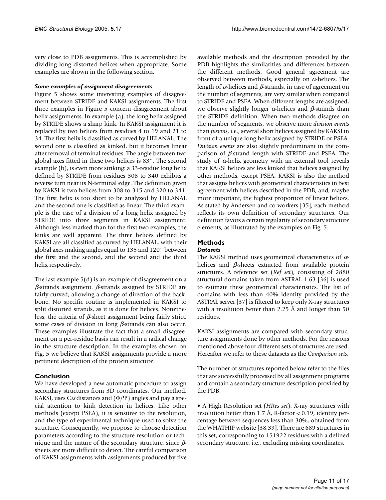very close to PDB assignments. This is accomplished by dividing long distorted helices when appropriate. Some examples are shown in the following section.

#### *Some examples of assignment disagreements*

Figure [5](#page-9-0) shows some interesting examples of disagreement between STRIDE and KAKSI assignments. The first three examples in Figure [5](#page-9-0) concern disagreement about helix assignments. In example (a), the long helix assigned by STRIDE shows a sharp kink. In KAKSI assignment it is replaced by two helices from residues 4 to 19 and 21 to 34. The first helix is classified as curved by HELANAL. The second one is classified as kinked, but it becomes linear after removal of terminal residues. The angle between two global axes fitted in these two helices is 83°. The second example (b), is even more striking: a 33-residue long helix defined by STRIDE from residues 308 to 340 exhibits a reverse turn near its N-terminal edge. The definition given by KAKSI is two helices from 308 to 315 and 320 to 341. The first helix is too short to be analyzed by HELANAL and the second one is classified as linear. The third example is the case of a division of a long helix assigned by STRIDE into three segments in KAKSI assignment. Although less marked than for the first two examples, the kinks are well apparent. The three helices defined by KAKSI are all classified as curved by HELANAL, with their global axes making angles equal to 135 and 120° between the first and the second, and the second and the third helix respectively.

The last example 5(d) is an example of disagreement on a  $β$ -strands assignment.  $β$ -strands assigned by STRIDE are fairly curved, allowing a change of direction of the backbone. No specific routine is implemented in KAKSI to split distorted strands, as it is done for helices. Nonetheless, the criteria of  $\beta$ -sheet assignment being fairly strict, some cases of division in long  $\beta$ -strands can also occur. These examples illustrate the fact that a small disagreement on a per-residue basis can result in a radical change in the structure description. In the examples shown on Fig. [5](#page-9-0) we believe that KAKSI assignments provide a more pertinent description of the protein structure.

### **Conclusion**

We have developed a new automatic procedure to assign secondary structures from 3D coordinates. Our method, KAKSI, uses C $\alpha$  distances and ( $\Phi/\Psi$ ) angles and pay a special attention to kink detection in helices. Like other methods (except PSEA), it is sensitive to the resolution, and the type of experimental technique used to solve the structure. Consequently, we propose to choose detection parameters according to the structure resolution or technique and the nature of the secondary structure, since  $\beta$ sheets are more difficult to detect. The careful comparison of KAKSI assignments with assignments produced by five available methods and the description provided by the PDB highlights the similarities and differences between the different methods. Good general agreement are observed between methods, especially on  $\alpha$ -helices. The length of  $\alpha$ -helices and  $\beta$ -strands, in case of agreement on the number of segments, are very similar when compared to STRIDE and PSEA. When different lengths are assigned, we observe slightly longer  $\alpha$ -helices and  $\beta$ -strands than the STRIDE definition. When two methods disagree on the number of segments, we observe more *division events* than *fusions*, i.e., several short helices assigned by KAKSI in front of a unique long helix assigned by STRIDE or PSEA. *Division events* are also slightly predominant in the comparison of  $\beta$ -strand length with STRIDE and PSEA. The study of  $\alpha$ -helix geometry with an external tool reveals that KAKSI helices are less kinked that helices assigned by other methods, except PSEA. KAKSI is also the method that assigns helices with geometrical characteristics in best agreement with helices described in the PDB, and, maybe more important, the highest proportion of linear helices. As stated by Andersen and co-workers [35], each method reflects its own definition of secondary structures. Our definition favors a certain regularity of secondary structure elements, as illustrated by the examples on Fig. [5.](#page-9-0)

## **Methods**

#### *Datasets*

The KAKSI method uses geometrical characteristics of  $\alpha$ helices and  $\beta$ -sheets extracted from available protein structures. A reference set (*Ref set*), consisting of 2880 structural domains taken from ASTRAL 1.63 [36] is used to estimate these geometrical characteristics. The list of domains with less than 40% identity provided by the ASTRAL server [37] is filtered to keep only X-ray structures with a resolution better than 2.25 Å and longer than 50 residues.

KAKSI assignments are compared with secondary structure assignments done by other methods. For the reasons mentioned above four different sets of structures are used. Hereafter we refer to these datasets as the *Comparison sets*.

The number of structures reported below refer to the files that are successfully processed by all assignment programs and contain a secondary structure description provided by the PDB.

• A High Resolution set (*HRes set*): X-ray structures with resolution better than 1.7 Å, R-factor < 0.19, identity percentage between sequences less than 30%, obtained from the WHATHIF website [38,39]. There are 689 structures in this set, corresponding to 151922 residues with a defined secondary structure, i.e., excluding missing coordinates.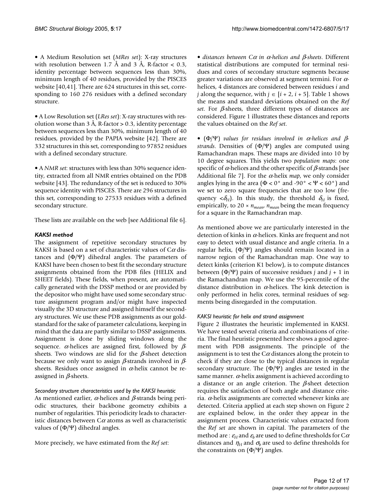• A Medium Resolution set (*MRes set*): X-ray structures with resolution between 1.7 Å and 3 Å, R-factor  $< 0.3$ , identity percentage between sequences less than 30%, minimum length of 40 residues, provided by the PISCES website [40,41]. There are 624 structures in this set, corresponding to 160 276 residues with a defined secondary structure.

• A Low Resolution set (*LRes set*): X-ray structures with resolution worse than 3 Å, R-factor  $> 0.3$ , identity percentage between sequences less than 30%, minimum length of 40 residues, provided by the PAPIA website [42]. There are 332 structures in this set, corresponding to 97852 residues with a defined secondary structure.

• A *NMR set*: structures with less than 30% sequence identity, extracted from all NMR entries obtained on the PDB website [43]. The redundancy of the set is reduced to 30% sequence identity with PISCES. There are 296 structures in this set, corresponding to 27533 residues with a defined secondary structure.

These lists are available on the web [see Additional file 6].

#### *KAKSI method*

The assignment of repetitive secondary structures by KAKSI is based on a set of characteristic values of  $C\alpha$  distances and  $(\Phi/\Psi)$  dihedral angles. The parameters of KAKSI have been chosen to best fit the secondary structure assignments obtained from the PDB files (HELIX and SHEET fields). These fields, when present, are automatically generated with the DSSP method or are provided by the depositor who might have used some secondary structure assignment program and/or might have inspected visually the 3D structure and assigned himself the secondary structures. We use these PDB assignments as our goldstandard for the sake of parameter calculations, keeping in mind that the data are partly similar to DSSP assignments. Assignment is done by sliding windows along the sequence.  $\alpha$ -helices are assigned first, followed by  $\beta$ sheets. Two windows are slid for the  $\beta$ -sheet detection because we only want to assign  $\beta$ -strands involved in  $\beta$ sheets. Residues once assigned in  $\alpha$ -helix cannot be reassigned in  $\beta$ -sheets.

#### *Secondary structure characteristics used by the KAKSI heuristic*

As mentioned earlier,  $\alpha$ -helices and  $\beta$ -strands being periodic structures, their backbone geometry exhibits a number of regularities. This periodicity leads to characteristic distances between  $C\alpha$  atoms as well as characteristic values of (Φ/Ψ) dihedral angles.

More precisely, we have estimated from the *Ref set*:

• *distances between C*α *in* α*-helices and* β*-sheets*. Different statistical distributions are computed for terminal residues and cores of secondary structure segments because greater variations are observed at segment termini. For αhelices, 4 distances are considered between residues *i* and *j* along the sequence, with  $j \in [i + 2, i + 5]$ . Table [1](#page-13-0) shows the means and standard deviations obtained on the *Ref set*. For β-sheets, three different types of distances are considered. Figure [1](#page-13-1) illustrates these distances and reports the values obtained on the *Ref set*.

• (Φ/Ψ) *values for residues involved in* α*-helices and* β*strands*. Densities of (Φ/Ψ) angles are computed using Ramachandran maps. These maps are divided into 10 by 10 degree squares. This yields two *population maps*: one specific of  $\alpha$ -helices and the other specific of  $\beta$ -strands [see Additional file 7]. For the  $\alpha$ -helix *map*, we only consider angles lying in the area ( $\Phi < 0^{\circ}$  and -90°  $< \Psi < 60^{\circ}$ ) and we set to zero square frequencies that are too low (frequency  $\langle \delta_H \rangle$ . In this study, the threshold  $\delta_H$  is fixed, empirically, to 20  $\times$   $n_{mean}$ ,  $n_{mean}$  being the mean frequency for a square in the Ramachandran map.

As mentioned above we are particularly interested in the detection of kinks in  $\alpha$ -helices. Kinks are frequent and not easy to detect with usual distance and angle criteria. In a regular helix,  $(\Phi/\Psi)$  angles should remain located in a narrow region of the Ramachandran map. One way to detect kinks (criterion K1 below), is to compute distances between (Φ/Ψ) pairs of successive residues *j* and *j +* 1 in the Ramachandran map. We use the 95-percentile of the distance distribution in  $\alpha$ -helices. The kink detection is only performed in helix cores, terminal residues of segments being disregarded in the computation.

#### *KAKSI heuristic for helix and strand assignment*

Figure 2 illustrates the heuristic implemented in KAKSI. We have tested several criteria and combinations of criteria. The final heuristic presented here shows a good agreement with PDB assignments. The principle of the assignment is to test the  $C\alpha$  distances along the protein to check if they are close to the typical distances in regular secondary structure. The  $(\Phi/\Psi)$  angles are tested in the same manner.  $\alpha$ -helix assignment is achieved according to a distance or an angle criterion. The  $\beta$ -sheet detection requires the satisfaction of both angle and distance criteria.  $\alpha$ -helix assignments are corrected whenever kinks are detected. Criteria applied at each step shown on Figure 2 are explained below, in the order they appear in the assignment process. Characteristic values extracted from the *Ref set* are shown in capital. The parameters of the method are :  $\varepsilon_H$  and  $\varepsilon_b$  are used to define thresholds for C $\alpha$ distances and  $\eta_H$  and  $\sigma_b$  are used to define thresholds for the constraints on  $(\Phi/\Psi)$  angles.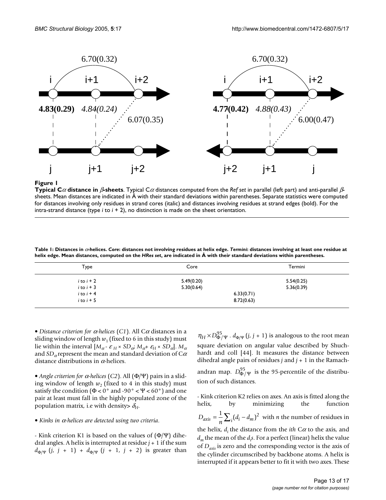<span id="page-13-1"></span>

**Typical C**<sup>α</sup> **distance in** β**-sheets**. Typical C<sup>α</sup> distances computed from the *Ref set* in parallel (left part) and anti-parallel βsheets. Mean distances are indicated in Å with their standard deviations within parentheses. Separate statistics were computed for distances involving only residues in strand cores (italic) and distances involving residues at strand edges (bold). For the intra-strand distance (type *i* to *i* + 2), no distinction is made on the sheet orientation.

<span id="page-13-0"></span>**Table 1: Distances in** α**-helices.** *Core***: distances not involving residues at helix edge.** *Termini***: distances involving at least one residue at helix edge. Mean distances, computed on the** *HRes set***, are indicated in Å with their standard deviations within parentheses.**

| Type           | Core       | Termini    |
|----------------|------------|------------|
| $i$ to $i + 2$ | 5.49(0.20) | 5.54(0.25) |
| $i$ to $i + 3$ | 5.30(0.64) | 5.36(0.39) |
| $i$ to $i + 4$ | 6.33(0.71) |            |
| $i$ to $i + 5$ | 8.72(0.63) |            |
|                |            |            |

• *Distance criterion for* α*-helices* (*C1*). All C<sup>α</sup> distances in a sliding window of length  $w_1$  (fixed to 6 in this study) must lie within the interval  $[M_{\alpha}$ -  $\varepsilon_{H}$  ×  $SD_{\alpha}$ ;  $M_{\alpha}$ +  $\varepsilon_{H}$  ×  $SD_{\alpha}$ ].  $M_{\alpha}$ and SD<sub> $\alpha$ </sub> represent the mean and standard deviation of C $\alpha$ distance distributions in  $\alpha$ -helices.

• *Angle criterion for* α*-helices* (*C2*). All (Φ/Ψ) pairs in a sliding window of length  $w_2$  (fixed to 4 in this study) must satisfy the condition ( $\Phi < 0^\circ$  and -90°  $< \Psi < 60^\circ$ ) and one pair at least must fall in the highly populated zone of the population matrix, i.e with density>  $\delta$ <sub>H</sub>.

#### • *Kinks in* α*-helices are detected using two criteria*.

- Kink criterion K1 is based on the values of  $(\Phi/\Psi)$  dihedral angles. A helix is interrupted at residue *j +* 1 if the sum  $d_{\Phi/\Psi}$  (*j*, *j* + 1) +  $d_{\Phi/\Psi}$  (*j* + 1, *j* + 2) is greater than

 $\eta_H \times D_{\Phi/\Psi}^{95}$  .  $d_{\Phi/\Psi}$  (*j*, *j* + 1) is analogous to the root mean square deviation on angular value described by Shuchhardt and coll [44]. It measures the distance between dihedral angle pairs of residues *j* and *j +* 1 in the Ramachandran map.  $D_{\Phi/\Psi}^{95}$  is the 95-percentile of the distribution of such distances.

- Kink criterion K2 relies on axes. An axis is fitted along the helix, by minimizing the function  $D_{axis} = \frac{1}{n} \sum_i (d_i - d_m)^2$  with *n* the number of residues in the helix,  $d_i$  the distance from the *ith*  $C\alpha$  to the axis, and  $d_m$  the mean of the  $d_i$ s. For a perfect (linear) helix the value of *Daxis* is zero and the corresponding vector is the axis of the cylinder circumscribed by backbone atoms. A helix is interrupted if it appears better to fit it with two axes. These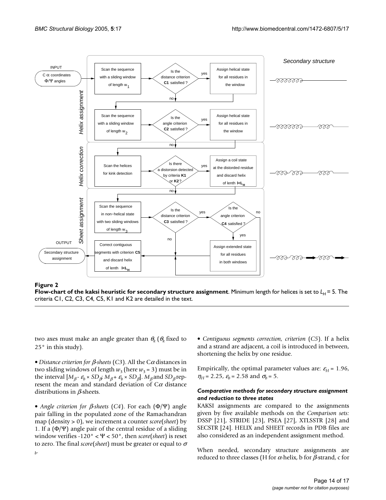

Figure 2

**Flow-chart of the kaksi heuristic for secondary structure assignment**. Minimum length for helices is set to *LH* = 5. The criteria C1, C2, C3, C4, C5, K1 and K2 are detailed in the text.

two axes must make an angle greater than  $\theta_k$  ( $\theta_k$  fixed to  $25^\circ$  in this study).

• *Distance criterion for* β*-sheets* (*C3*). All the C<sup>α</sup> distances in two sliding windows of length  $w_3$  (here  $w_3$  = 3) must be in the interval  $[M_\beta - \varepsilon_b \times SD_\beta M_\beta + \varepsilon_b \times SD_\beta]$ .  $M_\beta$  and  $SD_\beta$  represent the mean and standard deviation of  $C\alpha$  distance distributions in  $\beta$ -sheets.

• *Angle criterion for* β*-sheets* (*C4*). For each (Φ/Ψ) angle pair falling in the populated zone of the Ramachandran map (density > 0), we increment a counter *score*(*sheet*) by 1. If a  $(\Phi/\Psi)$  angle pair of the central residue of a sliding window verifies -120° < Ψ < 50°, then *score*(*sheet*) is reset to zero. The final *score*(*sheet*) must be greater or equal to <sup>σ</sup> *b* .

• *Contiguous segments correction, criterion* (*C5*). If a helix and a strand are adjacent, a coil is introduced in between, shortening the helix by one residue.

Empirically, the optimal parameter values are:  $\varepsilon_{H}$  = 1.96,  $\eta_H$  = 2.25,  $\varepsilon_b$  = 2.58 and  $\sigma_b$  = 5.

#### *Comparative methods for secondary structure assignment and reduction to three states*

KAKSI assignments are compared to the assignments given by five available methods on the *Comparison sets:* DSSP [21], STRIDE [23], PSEA [27], XTLSSTR [28] and SECSTR [24]. HELIX and SHEET records in PDB files are also considered as an independent assignment method.

When needed, secondary structure assignments are reduced to three classes (H for  $\alpha$ -helix, b for  $\beta$ -strand, c for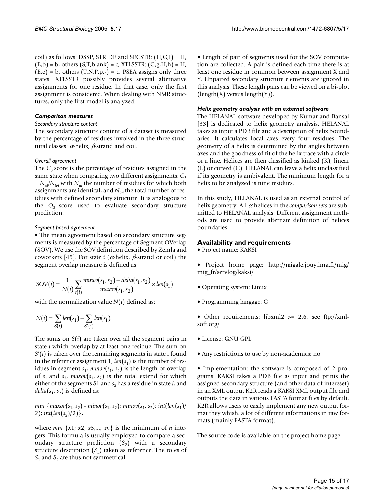coil) as follows: DSSP, STRIDE and SECSTR: (H,G,I) = H,  $(E,b) = b$ , others  $(S,T,blank) = c$ ; XTLSSTR:  $(G,g,H,h) = H$ ,  $(E,e) = b$ , others  $(T,N,P,p,-) = c$ . PSEA assigns only three states. XTLSSTR possibly provides several alternative assignments for one residue. In that case, only the first assignment is considered. When dealing with NMR structures, only the first model is analyzed.

#### *Comparison measures*

#### *Secondary structure content*

The secondary structure content of a dataset is measured by the percentage of residues involved in the three structural classes:  $\alpha$ -helix,  $\beta$ -strand and coil.

#### *Overall agreement*

The  $C_3$  score is the percentage of residues assigned in the same state when comparing two different assignments: *C*<sup>3</sup>  $N_{id}N_{tot}$  with  $N_{id}$  the number of residues for which both assignments are identical, and  $N_{tot}$  the total number of residues with defined secondary structure. It is analogous to the  $Q_3$  score used to evaluate secondary structure prediction.

#### *Segment based-agreement*

• The mean agreement based on secondary structure segments is measured by the percentage of Segment OVerlap (SOV). We use the SOV definition described by Zemla and coworkers [45]. For state *i* (α-helix, β-strand or coil) the segment overlap measure is defined as:

$$
SOV(i) = \frac{1}{N(i)} \sum_{s(i)} \frac{minov(s_1, s_2) + delta(s_1, s_2)}{maxov(s_1, s_2)} \times len(s_1)
$$

with the normalization value *N*(*i*) defined as:

$$
N(i) = \sum_{S(i)} len(s_1) + \sum_{S'(i)} len(s_1).
$$

The sums on *S*(*i*) are taken over all the segment pairs in state *i* which overlap by at least one residue. The sum on *S*'(*i*) is taken over the remaining segments in state i found in the reference assignment  $1$ *,*  $len(s<sub>1</sub>)$  is the number of residues in segment  $s_1$ ,  $minov(s_1, s_2)$  is the length of overlap of  $s_1$  and  $s_2$ ,  $maxov(s_1, s_2)$  is the total extend for which either of the segments *S*1 and  $s<sub>2</sub>$  has a residue in state *i*, and  $delta(s_1, s_2)$  is defined as:

*min* {*maxov*(*s*<sub>1</sub>, *s*<sub>2</sub>) - *minov*(*s*<sub>1</sub>, *s*<sub>2</sub>); *minov*(*s*<sub>1</sub>, *s*<sub>2</sub>); *int*(*len*(*s*<sub>1</sub>)/ 2);  $int(len(s_2)/2)$ ,

where *min*  $\{x_1, x_2, x_3, \ldots, x_n\}$  is the minimum of *n* integers. This formula is usually employed to compare a secondary structure prediction  $(S_2)$  with a secondary structure description (*S*<sup>1</sup> ) taken as reference. The roles of  $S_1$  and  $S_2$  are thus not symmetrical.

• Length of pair of segments used for the SOV computation are collected. A pair is defined each time there is at least one residue in common between assignment X and Y. Unpaired secondary structure elements are ignored in this analysis. These length pairs can be viewed on a bi-plot  $\text{length}(X)$  versus length $(Y)$ ).

#### *Helix geometry analysis with an external software*

The HELANAL software developed by Kumar and Bansal [33] is dedicated to helix geometry analysis. HELANAL takes as input a PDB file and a description of helix boundaries. It calculates local axes every four residues. The geometry of a helix is determined by the angles between axes and the goodness of fit of the helix trace with a circle or a line. Helices are then classified as kinked (K), linear (L) or curved (C). HELANAL can leave a helix unclassified if its geometry is ambivalent. The minimum length for a helix to be analyzed is nine residues.

In this study, HELANAL is used as an external control of helix geometry. All α-helices in the *comparison sets* are submitted to HELANAL analysis. Different assignment methods are used to provide alternate definition of helices boundaries.

#### **Availability and requirements**

- Project name: KAKSI
- Project home page: http://migale.jouy.inra.fr/mig/ mig\_fr/servlog/kaksi/
- Operating system: Linux
- Programming langage: C
- Other requirements: libxml2 >= 2.6, see ftp://xmlsoft.org/
- License: GNU GPL
- Any restrictions to use by non-academics: no

• Implementation: the software is composed of 2 programs: KAKSI takes a PDB file as input and prints the assigned secondary structure (and other data of intereset) in an XML output K2R reads a KAKSI XML output file and outputs the data in various FASTA format files by default. K2R allows users to easily implement any new output format they whish. a lot of different informations in raw formats (mainly FASTA format).

The source code is available on the project home page.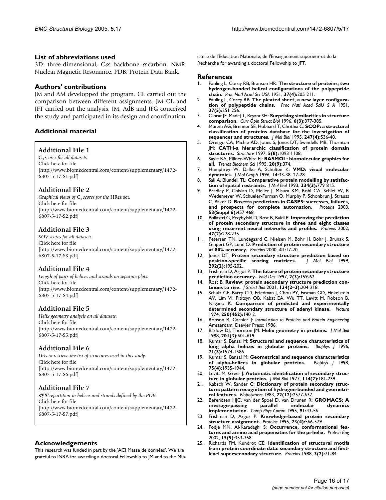#### **List of abbreviations used**

3D: three-dimensional, C $\alpha$ : backbone  $\alpha$ -carbon, NMR: Nuclear Magnetic Resonance, PDB: Protein Data Bank.

#### **Authors' contributions**

JM and AM developped the program. GL carried out the comparison between different assignments. JM GL and JFT carried out the analysis. JM, AdB and JFG conceived the study and participated in its design and coordination

### **Additional material**

#### **Additional File 1**

C*3 scores for all datasets.* Click here for file [\[http://www.biomedcentral.com/content/supplementary/1472-](http://www.biomedcentral.com/content/supplementary/1472-6807-5-17-S1.pdf) 6807-5-17-S1.pdf]

#### **Additional File 2**

*Graphical views of* C*3 scores for the* HRes set*.* Click here for file [\[http://www.biomedcentral.com/content/supplementary/1472-](http://www.biomedcentral.com/content/supplementary/1472-6807-5-17-S2.pdf) 6807-5-17-S2.pdf]

#### **Additional File 3**

*SOV scores for all datasets.* Click here for file [\[http://www.biomedcentral.com/content/supplementary/1472-](http://www.biomedcentral.com/content/supplementary/1472-6807-5-17-S3.pdf) 6807-5-17-S3.pdf]

### **Additional File 4**

*Length of pairs of helices and strands on separate plots.* Click here for file [\[http://www.biomedcentral.com/content/supplementary/1472-](http://www.biomedcentral.com/content/supplementary/1472-6807-5-17-S4.pdf) 6807-5-17-S4.pdf]

### **Additional File 5**

*Helix geometry analysis on all datasets.* Click here for file [\[http://www.biomedcentral.com/content/supplementary/1472-](http://www.biomedcentral.com/content/supplementary/1472-6807-5-17-S5.pdf) 6807-5-17-S5.pdf]

### **Additional File 6**

*Urls to retrieve the list of structures used in this study.* Click here for file [\[http://www.biomedcentral.com/content/supplementary/1472-](http://www.biomedcentral.com/content/supplementary/1472-6807-5-17-S6.pdf) 6807-5-17-S6.pdf]

### **Additional File 7**

<sup>Φ</sup>*/*Ψ *repartition in helices and strands defined by the PDB.* Click here for file [\[http://www.biomedcentral.com/content/supplementary/1472-](http://www.biomedcentral.com/content/supplementary/1472-6807-5-17-S7.pdf) 6807-5-17-S7.pdf]

### **Acknowledgements**

This research was funded in part by the 'ACI Masse de données'. We are grateful to INRA for awarding a doctoral Fellowship to JM and to the Ministère de l'Education Nationale, de l'Enseignement supérieur et de la Recherche for awarding a doctoral Fellowship to JFT.

#### **References**

- 1. Pauling L, Corey RB, Branson HR: **[The structure of proteins; two](http://www.ncbi.nlm.nih.gov/entrez/query.fcgi?cmd=Retrieve&db=PubMed&dopt=Abstract&list_uids=14816373) [hydrogen-bonded helical configurations of the polypeptide](http://www.ncbi.nlm.nih.gov/entrez/query.fcgi?cmd=Retrieve&db=PubMed&dopt=Abstract&list_uids=14816373) [chain.](http://www.ncbi.nlm.nih.gov/entrez/query.fcgi?cmd=Retrieve&db=PubMed&dopt=Abstract&list_uids=14816373)** *Proc Natl Acad Sci USA* 1951, **37(4):**205-211.
- 2. Pauling L, Corey RB: **The pleated sheet, a new layer configuration of polypeptide chains.** *Proc Natl Acad SciU S A* 1951, **37(5):**251-256.
- 3. Gibrat JF, Madej T, Bryant SH: **[Surprising similarities in structure](http://www.ncbi.nlm.nih.gov/entrez/query.fcgi?cmd=Retrieve&db=PubMed&dopt=Abstract&list_uids=8804824) [comparison.](http://www.ncbi.nlm.nih.gov/entrez/query.fcgi?cmd=Retrieve&db=PubMed&dopt=Abstract&list_uids=8804824)** *Curr Opin Struct Biol* 1996, **6(3):**377-385.
- 4. Murzin AG, Brenner SE, Hubbard T, Chothia C: **[SCOP: a structural](http://www.ncbi.nlm.nih.gov/entrez/query.fcgi?cmd=Retrieve&db=PubMed&dopt=Abstract&list_uids=7723011) [classification of proteins database for the investigation of](http://www.ncbi.nlm.nih.gov/entrez/query.fcgi?cmd=Retrieve&db=PubMed&dopt=Abstract&list_uids=7723011) [sequences and structures.](http://www.ncbi.nlm.nih.gov/entrez/query.fcgi?cmd=Retrieve&db=PubMed&dopt=Abstract&list_uids=7723011)** *J Mol Biol* 1995, **247(4):**536-40.
- 5. Orengo CA, Michie AD, Jones S, Jones DT, Swindells MB, Thornton JM: **[CATH-a hierarchic classification of protein domain](http://www.ncbi.nlm.nih.gov/entrez/query.fcgi?cmd=Retrieve&db=PubMed&dopt=Abstract&list_uids=9309224) [structures.](http://www.ncbi.nlm.nih.gov/entrez/query.fcgi?cmd=Retrieve&db=PubMed&dopt=Abstract&list_uids=9309224)** *Structure* 1997, **5(8):**1093-1108.
- 6. Sayle RA, Milner-White EJ: **[RASMOL: biomolecular graphics for](http://www.ncbi.nlm.nih.gov/entrez/query.fcgi?cmd=Retrieve&db=PubMed&dopt=Abstract&list_uids=7482707) [all.](http://www.ncbi.nlm.nih.gov/entrez/query.fcgi?cmd=Retrieve&db=PubMed&dopt=Abstract&list_uids=7482707)** *Trends Biochem Sci* 1995, **20(9):**374.
- 7. Humphrey W, Dalke A, Schulten K: **[VMD: visual molecular](http://www.ncbi.nlm.nih.gov/entrez/query.fcgi?cmd=Retrieve&db=PubMed&dopt=Abstract&list_uids=8744570) [dynamics.](http://www.ncbi.nlm.nih.gov/entrez/query.fcgi?cmd=Retrieve&db=PubMed&dopt=Abstract&list_uids=8744570)** *J Mol Graph* 1996, **14:**33-38. 27-28.
- 8. Sali A, Blundell TL: **[Comparative protein modelling by satisfac](http://www.ncbi.nlm.nih.gov/entrez/query.fcgi?cmd=Retrieve&db=PubMed&dopt=Abstract&list_uids=8254673)[tion of spatial restraints.](http://www.ncbi.nlm.nih.gov/entrez/query.fcgi?cmd=Retrieve&db=PubMed&dopt=Abstract&list_uids=8254673)** *J Mol Biol* 1993, **234(3):**779-815.
- 9. Bradley P, Chivian D, Meiler J, Misura KM, Rohl CA, Schief W, R Wedemeyer W, Schueler-Furman O, Murphy P, Schonbrun J, Strauss C, Baker D: **[Rosetta predictions in CASP5: successes, failures,](http://www.ncbi.nlm.nih.gov/entrez/query.fcgi?cmd=Retrieve&db=PubMed&dopt=Abstract&list_uids=14579334) [and prospects for complete automation.](http://www.ncbi.nlm.nih.gov/entrez/query.fcgi?cmd=Retrieve&db=PubMed&dopt=Abstract&list_uids=14579334)** *Proteins* 2003, **53(Suppl 6):**457-468.
- 10. Pollastri G, Przybylski D, Rost B, Baldi P: **[Improving the prediction](http://www.ncbi.nlm.nih.gov/entrez/query.fcgi?cmd=Retrieve&db=PubMed&dopt=Abstract&list_uids=11933069) [of protein secondary structure in three and eight classes](http://www.ncbi.nlm.nih.gov/entrez/query.fcgi?cmd=Retrieve&db=PubMed&dopt=Abstract&list_uids=11933069) [using recurrent neural networks and profiles.](http://www.ncbi.nlm.nih.gov/entrez/query.fcgi?cmd=Retrieve&db=PubMed&dopt=Abstract&list_uids=11933069)** *Proteins* 2002, **47(2):**228-235.
- 11. Petersen TN, Lundegaard C, Nielsen M, Bohr H, Bohr J, Brunak S, Gippert GP, Lund O: **[Prediction of protein secondary structure](http://www.ncbi.nlm.nih.gov/entrez/query.fcgi?cmd=Retrieve&db=PubMed&dopt=Abstract&list_uids=10944389) [at 80% accuracy.](http://www.ncbi.nlm.nih.gov/entrez/query.fcgi?cmd=Retrieve&db=PubMed&dopt=Abstract&list_uids=10944389)** *Proteins* 2000, **41:**17-20.
- 12. Jones DT: **[Protein secondary structure prediction based on](http://www.ncbi.nlm.nih.gov/entrez/query.fcgi?cmd=Retrieve&db=PubMed&dopt=Abstract&list_uids=10493868) [position-specific scoring matrices.](http://www.ncbi.nlm.nih.gov/entrez/query.fcgi?cmd=Retrieve&db=PubMed&dopt=Abstract&list_uids=10493868)** *J Mol Biol* 1999, **292(2):**195-202.
- 13. Frishman D, Argos P: **[The future of protein secondary structure](http://www.ncbi.nlm.nih.gov/entrez/query.fcgi?cmd=Retrieve&db=PubMed&dopt=Abstract&list_uids=9218953) [prediction accuracy.](http://www.ncbi.nlm.nih.gov/entrez/query.fcgi?cmd=Retrieve&db=PubMed&dopt=Abstract&list_uids=9218953)** *Fold Des* 1997, **2(3):**159-62.
- 14. Rost B: **[Review: protein secondary structure prediction con](http://www.ncbi.nlm.nih.gov/entrez/query.fcgi?cmd=Retrieve&db=PubMed&dopt=Abstract&list_uids=11551180)[tinues to rise.](http://www.ncbi.nlm.nih.gov/entrez/query.fcgi?cmd=Retrieve&db=PubMed&dopt=Abstract&list_uids=11551180)** *J Struct Biol* 2001, **134(2–3):**204-218.
- 15. Schulz GE, Barry CD, Friedman J, Chou PY, Fasman GD, Finkelstein AV, Lim VI, Pititsyn OB, Kabat EA, Wu TT, Levitt M, Robson B, Nagano K: **[Comparison of predicted and experimentally](http://www.ncbi.nlm.nih.gov/entrez/query.fcgi?cmd=Retrieve&db=PubMed&dopt=Abstract&list_uids=4367211) [determined secondary structure of adenyl kinase.](http://www.ncbi.nlm.nih.gov/entrez/query.fcgi?cmd=Retrieve&db=PubMed&dopt=Abstract&list_uids=4367211)** *Nature* 1974, **250(462):**140-2.
- 16. Robson B, Garnier J: *Introduction to Proteins and Protein Engineering* Amsterdam: Elsevier Press; 1986.
- 17. Barlow DJ, Thornton JM: **[Helix geometry in proteins.](http://www.ncbi.nlm.nih.gov/entrez/query.fcgi?cmd=Retrieve&db=PubMed&dopt=Abstract&list_uids=3418712)** *J Mol Biol* 1988, **201(3):**601-619.
- 18. Kumar S, Bansal M: **[Structural and sequence characteristics of](http://www.ncbi.nlm.nih.gov/entrez/query.fcgi?cmd=Retrieve&db=PubMed&dopt=Abstract&list_uids=8874031) [long alpha helices in globular proteins.](http://www.ncbi.nlm.nih.gov/entrez/query.fcgi?cmd=Retrieve&db=PubMed&dopt=Abstract&list_uids=8874031)** *Biophys J* 1996, **71(3):**1574-1586.
- 19. Kumar S, Bansal M: **[Geometrical and sequence characteristics](http://www.ncbi.nlm.nih.gov/entrez/query.fcgi?cmd=Retrieve&db=PubMed&dopt=Abstract&list_uids=9746534) [of alpha-helices in globular proteins.](http://www.ncbi.nlm.nih.gov/entrez/query.fcgi?cmd=Retrieve&db=PubMed&dopt=Abstract&list_uids=9746534)** *Biophys J* 1998, **75(4):**1935-1944.
- 20. Levitt M, Greer |: [Automatic identification of secondary struc](http://www.ncbi.nlm.nih.gov/entrez/query.fcgi?cmd=Retrieve&db=PubMed&dopt=Abstract&list_uids=909086)**[ture in globular proteins.](http://www.ncbi.nlm.nih.gov/entrez/query.fcgi?cmd=Retrieve&db=PubMed&dopt=Abstract&list_uids=909086)** *J Mol Biol* 1977, **114(2):**181-239.
- 21. Kabsch W, Sander C: **[Dictionary of protein secondary struc](http://www.ncbi.nlm.nih.gov/entrez/query.fcgi?cmd=Retrieve&db=PubMed&dopt=Abstract&list_uids=6667333)[ture: pattern recognition of hydrogen-bonded and geometri](http://www.ncbi.nlm.nih.gov/entrez/query.fcgi?cmd=Retrieve&db=PubMed&dopt=Abstract&list_uids=6667333)[cal features.](http://www.ncbi.nlm.nih.gov/entrez/query.fcgi?cmd=Retrieve&db=PubMed&dopt=Abstract&list_uids=6667333)** *Biopolymers* 1983, **22(12):**2577-637.
- 22. Berendsen HJC, van der Spoel D, van Drunen R: **GROMACS: A message-passing parallel molecular dynamics implementation.** *Comp Phys Comm* 1995, **91:**43-56.
- 23. Frishman D, Argos P: **[Knowledge-based protein secondary](http://www.ncbi.nlm.nih.gov/entrez/query.fcgi?cmd=Retrieve&db=PubMed&dopt=Abstract&list_uids=8749853) [structure assignment.](http://www.ncbi.nlm.nih.gov/entrez/query.fcgi?cmd=Retrieve&db=PubMed&dopt=Abstract&list_uids=8749853)** *Proteins* 1995, **23(4):**566-579.
- 24. Fodje MN, Al-Karadaghi S: **[Occurrence, conformational fea](http://www.ncbi.nlm.nih.gov/entrez/query.fcgi?cmd=Retrieve&db=PubMed&dopt=Abstract&list_uids=12034854)[tures and amino acid propensities for the pi-helix.](http://www.ncbi.nlm.nih.gov/entrez/query.fcgi?cmd=Retrieve&db=PubMed&dopt=Abstract&list_uids=12034854)** *Protein Eng* 2002, **15(5):**353-358.
- 25. Richards FM, Kundrot CE: **[Identification of structural motifs](http://www.ncbi.nlm.nih.gov/entrez/query.fcgi?cmd=Retrieve&db=PubMed&dopt=Abstract&list_uids=3399495) [from protein coordinate data: secondary structure and first](http://www.ncbi.nlm.nih.gov/entrez/query.fcgi?cmd=Retrieve&db=PubMed&dopt=Abstract&list_uids=3399495)[level supersecondary structure.](http://www.ncbi.nlm.nih.gov/entrez/query.fcgi?cmd=Retrieve&db=PubMed&dopt=Abstract&list_uids=3399495)** *Proteins* 1988, **3(2):**71-84.